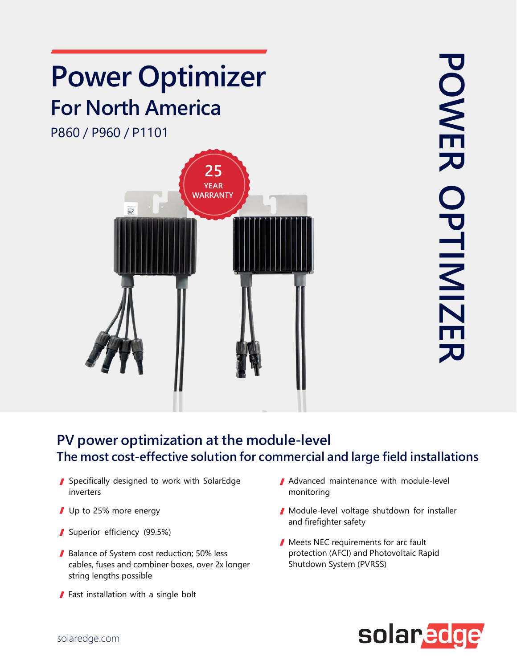

## **PV power optimization at the module-level The most cost-effective solution for commercial and large field installations**

- Specifically designed to work with SolarEdge inverters
- Up to 25% more energy
- Superior efficiency (99.5%)
- Balance of System cost reduction; 50% less cables, fuses and combiner boxes, over 2x longer string lengths possible
- Fast installation with a single bolt
- Advanced maintenance with module-level monitoring
- Module-level voltage shutdown for installer and firefighter safety
- Meets NEC requirements for arc fault protection (AFCI) and Photovoltaic Rapid Shutdown System (PVRSS)